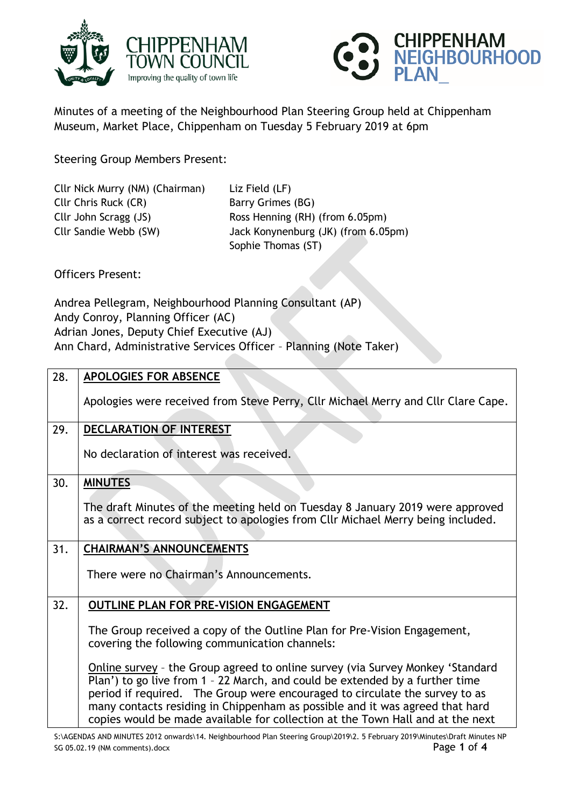



Minutes of a meeting of the Neighbourhood Plan Steering Group held at Chippenham Museum, Market Place, Chippenham on Tuesday 5 February 2019 at 6pm

Steering Group Members Present:

| Cllr Nick Murry (NM) (Chairman) | Liz Field (LF)                      |
|---------------------------------|-------------------------------------|
| Cllr Chris Ruck (CR)            | Barry Grimes (BG)                   |
| Cllr John Scragg (JS)           | Ross Henning (RH) (from 6.05pm)     |
| Cllr Sandie Webb (SW)           | Jack Konynenburg (JK) (from 6.05pm) |
|                                 | Sophie Thomas (ST)                  |

Officers Present:

Andrea Pellegram, Neighbourhood Planning Consultant (AP) Andy Conroy, Planning Officer (AC) Adrian Jones, Deputy Chief Executive (AJ) Ann Chard, Administrative Services Officer – Planning (Note Taker)

| 28. | <b>APOLOGIES FOR ABSENCE</b>                                                                                                                                                                                                                                                                                                                                                                                    |
|-----|-----------------------------------------------------------------------------------------------------------------------------------------------------------------------------------------------------------------------------------------------------------------------------------------------------------------------------------------------------------------------------------------------------------------|
|     | Apologies were received from Steve Perry, Cllr Michael Merry and Cllr Clare Cape.                                                                                                                                                                                                                                                                                                                               |
| 29. | <b>DECLARATION OF INTEREST</b>                                                                                                                                                                                                                                                                                                                                                                                  |
|     | No declaration of interest was received.                                                                                                                                                                                                                                                                                                                                                                        |
| 30. | <b>MINUTES</b>                                                                                                                                                                                                                                                                                                                                                                                                  |
|     | The draft Minutes of the meeting held on Tuesday 8 January 2019 were approved<br>as a correct record subject to apologies from Cllr Michael Merry being included.                                                                                                                                                                                                                                               |
| 31. | <b>CHAIRMAN'S ANNOUNCEMENTS</b>                                                                                                                                                                                                                                                                                                                                                                                 |
|     | There were no Chairman's Announcements.                                                                                                                                                                                                                                                                                                                                                                         |
| 32. | <b>OUTLINE PLAN FOR PRE-VISION ENGAGEMENT</b>                                                                                                                                                                                                                                                                                                                                                                   |
|     | The Group received a copy of the Outline Plan for Pre-Vision Engagement,<br>covering the following communication channels:                                                                                                                                                                                                                                                                                      |
|     | Online survey - the Group agreed to online survey (via Survey Monkey 'Standard<br>Plan') to go live from 1 - 22 March, and could be extended by a further time<br>period if required. The Group were encouraged to circulate the survey to as<br>many contacts residing in Chippenham as possible and it was agreed that hard<br>copies would be made available for collection at the Town Hall and at the next |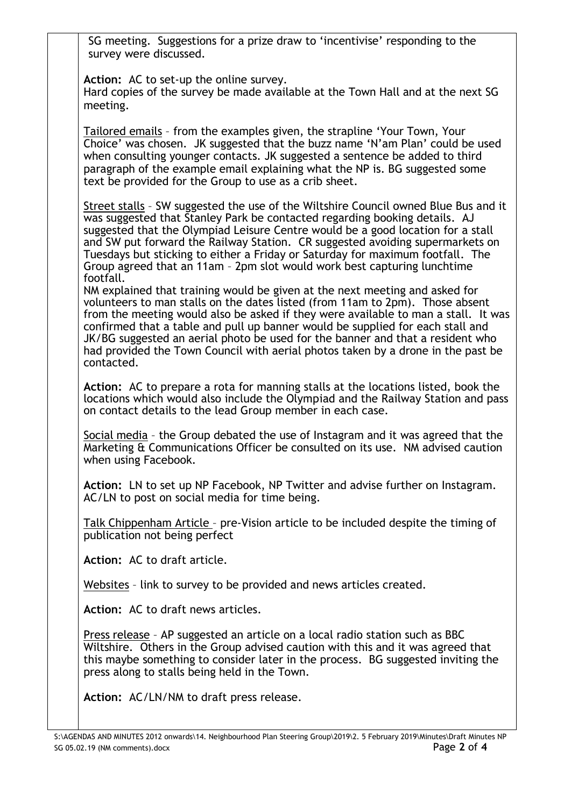SG meeting. Suggestions for a prize draw to 'incentivise' responding to the survey were discussed.

**Action:** AC to set-up the online survey.

Hard copies of the survey be made available at the Town Hall and at the next SG meeting.

Tailored emails – from the examples given, the strapline 'Your Town, Your Choice' was chosen. JK suggested that the buzz name 'N'am Plan' could be used when consulting younger contacts. JK suggested a sentence be added to third paragraph of the example email explaining what the NP is. BG suggested some text be provided for the Group to use as a crib sheet.

Street stalls – SW suggested the use of the Wiltshire Council owned Blue Bus and it was suggested that Stanley Park be contacted regarding booking details. AJ suggested that the Olympiad Leisure Centre would be a good location for a stall and SW put forward the Railway Station. CR suggested avoiding supermarkets on Tuesdays but sticking to either a Friday or Saturday for maximum footfall. The Group agreed that an 11am – 2pm slot would work best capturing lunchtime footfall.

NM explained that training would be given at the next meeting and asked for volunteers to man stalls on the dates listed (from 11am to 2pm). Those absent from the meeting would also be asked if they were available to man a stall. It was confirmed that a table and pull up banner would be supplied for each stall and JK/BG suggested an aerial photo be used for the banner and that a resident who had provided the Town Council with aerial photos taken by a drone in the past be contacted.

**Action:** AC to prepare a rota for manning stalls at the locations listed, book the locations which would also include the Olympiad and the Railway Station and pass on contact details to the lead Group member in each case.

Social media – the Group debated the use of Instagram and it was agreed that the Marketing & Communications Officer be consulted on its use. NM advised caution when using Facebook.

**Action:** LN to set up NP Facebook, NP Twitter and advise further on Instagram. AC/LN to post on social media for time being.

Talk Chippenham Article – pre-Vision article to be included despite the timing of publication not being perfect

**Action:** AC to draft article.

Websites – link to survey to be provided and news articles created.

**Action:** AC to draft news articles.

Press release – AP suggested an article on a local radio station such as BBC Wiltshire. Others in the Group advised caution with this and it was agreed that this maybe something to consider later in the process. BG suggested inviting the press along to stalls being held in the Town.

**Action:** AC/LN/NM to draft press release.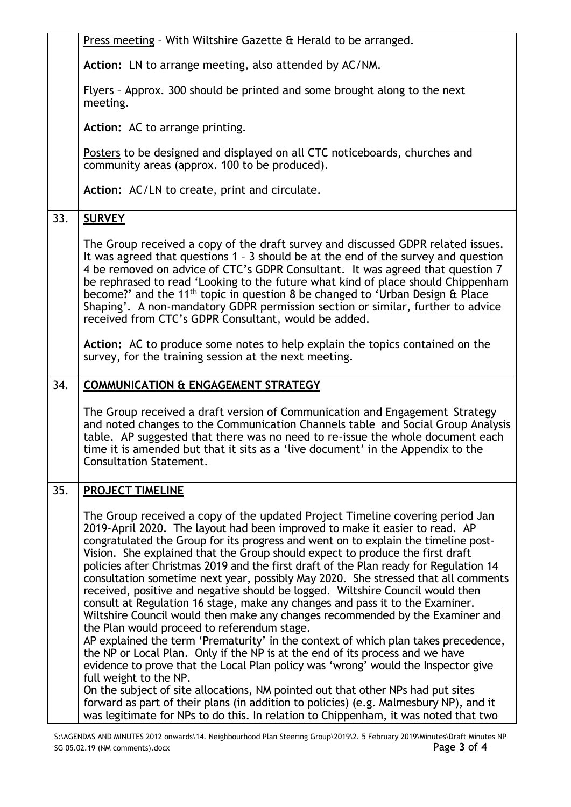|     | Press meeting - With Wiltshire Gazette & Herald to be arranged.                                                                                                                                                                                                                                                                                                                                                                                                                                                                                                                        |
|-----|----------------------------------------------------------------------------------------------------------------------------------------------------------------------------------------------------------------------------------------------------------------------------------------------------------------------------------------------------------------------------------------------------------------------------------------------------------------------------------------------------------------------------------------------------------------------------------------|
|     | Action: LN to arrange meeting, also attended by AC/NM.                                                                                                                                                                                                                                                                                                                                                                                                                                                                                                                                 |
|     | Flyers - Approx. 300 should be printed and some brought along to the next<br>meeting.                                                                                                                                                                                                                                                                                                                                                                                                                                                                                                  |
|     | Action: AC to arrange printing.                                                                                                                                                                                                                                                                                                                                                                                                                                                                                                                                                        |
|     | Posters to be designed and displayed on all CTC noticeboards, churches and<br>community areas (approx. 100 to be produced).                                                                                                                                                                                                                                                                                                                                                                                                                                                            |
|     | Action: AC/LN to create, print and circulate.                                                                                                                                                                                                                                                                                                                                                                                                                                                                                                                                          |
| 33. | <b>SURVEY</b>                                                                                                                                                                                                                                                                                                                                                                                                                                                                                                                                                                          |
|     | The Group received a copy of the draft survey and discussed GDPR related issues.<br>It was agreed that questions $1 - 3$ should be at the end of the survey and question<br>4 be removed on advice of CTC's GDPR Consultant. It was agreed that question 7<br>be rephrased to read 'Looking to the future what kind of place should Chippenham<br>become?' and the 11 <sup>th</sup> topic in question 8 be changed to 'Urban Design & Place<br>Shaping'. A non-mandatory GDPR permission section or similar, further to advice<br>received from CTC's GDPR Consultant, would be added. |
|     | Action: AC to produce some notes to help explain the topics contained on the<br>survey, for the training session at the next meeting.                                                                                                                                                                                                                                                                                                                                                                                                                                                  |
| 34. | <b>COMMUNICATION &amp; ENGAGEMENT STRATEGY</b>                                                                                                                                                                                                                                                                                                                                                                                                                                                                                                                                         |
|     | The Group received a draft version of Communication and Engagement Strategy<br>and noted changes to the Communication Channels table and Social Group Analysis<br>table. AP suggested that there was no need to re-issue the whole document each<br>time it is amended but that it sits as a 'live document' in the Appendix to the<br><b>Consultation Statement.</b>                                                                                                                                                                                                                  |
| 35. | <b>PROJECT TIMELINE</b>                                                                                                                                                                                                                                                                                                                                                                                                                                                                                                                                                                |
|     | The Group received a copy of the updated Project Timeline covering period Jan<br>2019-April 2020. The layout had been improved to make it easier to read. AP<br>congratulated the Group for its progress and went on to explain the timeline post-                                                                                                                                                                                                                                                                                                                                     |